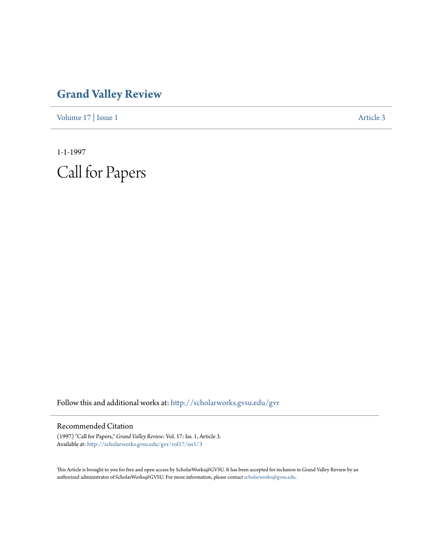## **[Grand Valley Review](http://scholarworks.gvsu.edu/gvr?utm_source=scholarworks.gvsu.edu%2Fgvr%2Fvol17%2Fiss1%2F3&utm_medium=PDF&utm_campaign=PDFCoverPages)**

[Volume 17](http://scholarworks.gvsu.edu/gvr/vol17?utm_source=scholarworks.gvsu.edu%2Fgvr%2Fvol17%2Fiss1%2F3&utm_medium=PDF&utm_campaign=PDFCoverPages) | [Issue 1](http://scholarworks.gvsu.edu/gvr/vol17/iss1?utm_source=scholarworks.gvsu.edu%2Fgvr%2Fvol17%2Fiss1%2F3&utm_medium=PDF&utm_campaign=PDFCoverPages) [Article 3](http://scholarworks.gvsu.edu/gvr/vol17/iss1/3?utm_source=scholarworks.gvsu.edu%2Fgvr%2Fvol17%2Fiss1%2F3&utm_medium=PDF&utm_campaign=PDFCoverPages)

1-1-1997 Call for Papers

Follow this and additional works at: [http://scholarworks.gvsu.edu/gvr](http://scholarworks.gvsu.edu/gvr?utm_source=scholarworks.gvsu.edu%2Fgvr%2Fvol17%2Fiss1%2F3&utm_medium=PDF&utm_campaign=PDFCoverPages)

## Recommended Citation

(1997) "Call for Papers," *Grand Valley Review*: Vol. 17: Iss. 1, Article 3. Available at: [http://scholarworks.gvsu.edu/gvr/vol17/iss1/3](http://scholarworks.gvsu.edu/gvr/vol17/iss1/3?utm_source=scholarworks.gvsu.edu%2Fgvr%2Fvol17%2Fiss1%2F3&utm_medium=PDF&utm_campaign=PDFCoverPages)

This Article is brought to you for free and open access by ScholarWorks@GVSU. It has been accepted for inclusion in Grand Valley Review by an authorized administrator of ScholarWorks@GVSU. For more information, please contact [scholarworks@gvsu.edu.](mailto:scholarworks@gvsu.edu)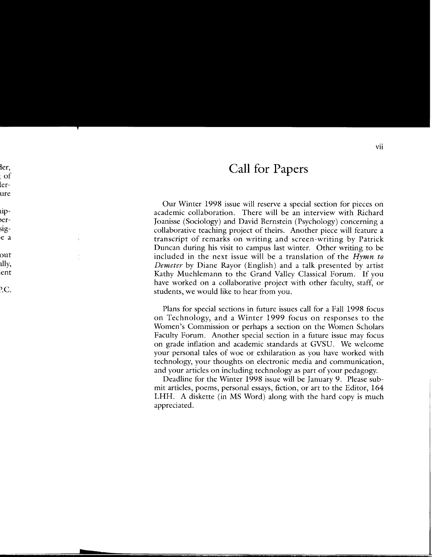## **Call for Papers**

Our Winter 1998 issue will reserve a special section for pieces on academic collaboration. There will be an interview with Richard Joanisse (Sociology) and David Bernstein (Psychology) concerning a collaborative teaching project of theirs. Another piece will feature a transcript of remarks on writing and screen-writing by Patrick Duncan during his visit to campus last winter. Other writing to be included in the next issue will be a translation of the *Hymn to Demeter* by Diane Rayor (English) and a talk presented by artist Kathy Muehlemann to the Grand Valley Classical Forum. If you have worked on a collaborative project with other faculty, staff, or students, we would like to hear from you.

Plans for special sections in future issues call for a Fall 1998 focus on Technology, and a Winter 1999 focus on responses to the Women's Commission or perhaps a section on the Women Scholars Faculty Forum. Another special section in a future issue may focus on grade inflation and academic standards at GVSU. We welcome your personal tales of woe or exhilaration as you have worked with technology, your thoughts on electronic media and communication, and your articles on including technology as part of your pedagogy.

Deadline for the Winter 1998 issue will be January 9. Please submit articles, poems, personal essays, fiction, or art to the Editor, 164 LHH. A diskette (in MS Word) along with the hard copy is much appreciated.